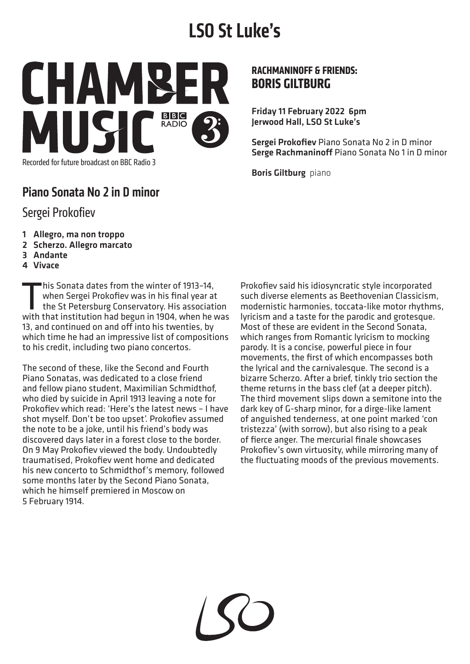# **LSO St Luke's**



Recorded for future broadcast on BBC Radio 3

## Piano Sonata No 2 in D minor

#### Sergei Prokofiev

- 1 Allegro, ma non troppo
- 2 Scherzo. Allegro marcato
- 3 Andante
- 4 Vivace

This Sonata dates from the winter of 1913-14,<br>when Sergei Prokofiev was in his final year at<br>the St Petersburg Conservatory. His associative<br>with that institution had begun in 1904, when he with when Sergei Prokofiev was in his final year at the St Petersburg Conservatory. His association with that institution had begun in 1904, when he was 13, and continued on and off into his twenties, by which time he had an impressive list of compositions to his credit, including two piano concertos.

The second of these, like the Second and Fourth Piano Sonatas, was dedicated to a close friend and fellow piano student, Maximilian Schmidthof, who died by suicide in April 1913 leaving a note for Prokofiev which read: 'Here's the latest news – I have shot myself. Don't be too upset'. Prokofiev assumed the note to be a joke, until his friend's body was discovered days later in a forest close to the border. On 9 May Prokofiev viewed the body. Undoubtedly traumatised, Prokofiev went home and dedicated his new concerto to Schmidthof's memory, followed some months later by the Second Piano Sonata, which he himself premiered in Moscow on 5 February 1914.

#### **RACHMANINOFF & FRIENDS: BORIS GILTBURG**

Friday 11 February 2022 6pm Jerwood Hall, LSO St Luke's

Sergei Prokofiev Piano Sonata No 2 in D minor Serge Rachmaninoff Piano Sonata No 1 in D minor

Boris Giltburg piano

Prokofiev said his idiosyncratic style incorporated such diverse elements as Beethovenian Classicism, modernistic harmonies, toccata-like motor rhythms, lyricism and a taste for the parodic and grotesque. Most of these are evident in the Second Sonata, which ranges from Romantic lyricism to mocking parody. It is a concise, powerful piece in four movements, the first of which encompasses both the lyrical and the carnivalesque. The second is a bizarre Scherzo. After a brief, tinkly trio section the theme returns in the bass clef (at a deeper pitch). The third movement slips down a semitone into the dark key of G-sharp minor, for a dirge-like lament of anguished tenderness, at one point marked 'con tristezza' (with sorrow), but also rising to a peak of fierce anger. The mercurial finale showcases Prokofiev's own virtuosity, while mirroring many of the fluctuating moods of the previous movements.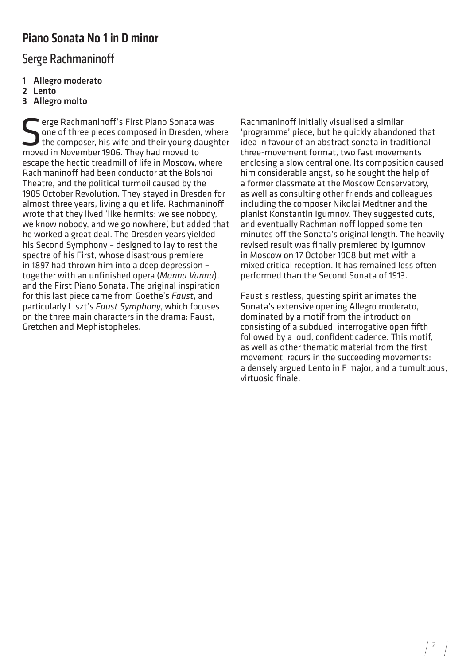### Piano Sonata No 1 in D minor

Serge Rachmaninoff

- 1 Allegro moderato
- 2 Lento
- 3 Allegro molto

Serge Rachmaninoff's First Piano Sonata was<br>one of three pieces composed in Dresden, where composer, his wife and their young daught<br>moved in November 1906. They had moved to erge Rachmaninoff's First Piano Sonata was<br>one of three pieces composed in Dresden, where the composer, his wife and their young daughter moved in November 1906. They had moved to escape the hectic treadmill of life in Moscow, where Rachmaninoff had been conductor at the Bolshoi Theatre, and the political turmoil caused by the 1905 October Revolution. They stayed in Dresden for almost three years, living a quiet life. Rachmaninoff wrote that they lived 'like hermits: we see nobody. we know nobody, and we go nowhere', but added that he worked a great deal. The Dresden years yielded his Second Symphony – designed to lay to rest the spectre of his First, whose disastrous premiere in 1897 had thrown him into a deep depression – together with an unfinished opera (*Monna Vanna*), and the First Piano Sonata. The original inspiration for this last piece came from Goethe's *Faust*, and particularly Liszt's *Faust Symphony*, which focuses on the three main characters in the drama: Faust, Gretchen and Mephistopheles.

Rachmaninoff initially visualised a similar 'programme' piece, but he quickly abandoned that idea in favour of an abstract sonata in traditional three-movement format, two fast movements enclosing a slow central one. Its composition caused him considerable angst, so he sought the help of a former classmate at the Moscow Conservatory, as well as consulting other friends and colleagues including the composer Nikolai Medtner and the pianist Konstantin Igumnov. They suggested cuts, and eventually Rachmaninoff lopped some ten minutes off the Sonata's original length. The heavily revised result was finally premiered by Igumnov in Moscow on 17 October 1908 but met with a mixed critical reception. It has remained less often performed than the Second Sonata of 1913.

Faust's restless, questing spirit animates the Sonata's extensive opening Allegro moderato, dominated by a motif from the introduction consisting of a subdued, interrogative open fifth followed by a loud, confident cadence. This motif, as well as other thematic material from the first movement, recurs in the succeeding movements: a densely argued Lento in F major, and a tumultuous, virtuosic finale.